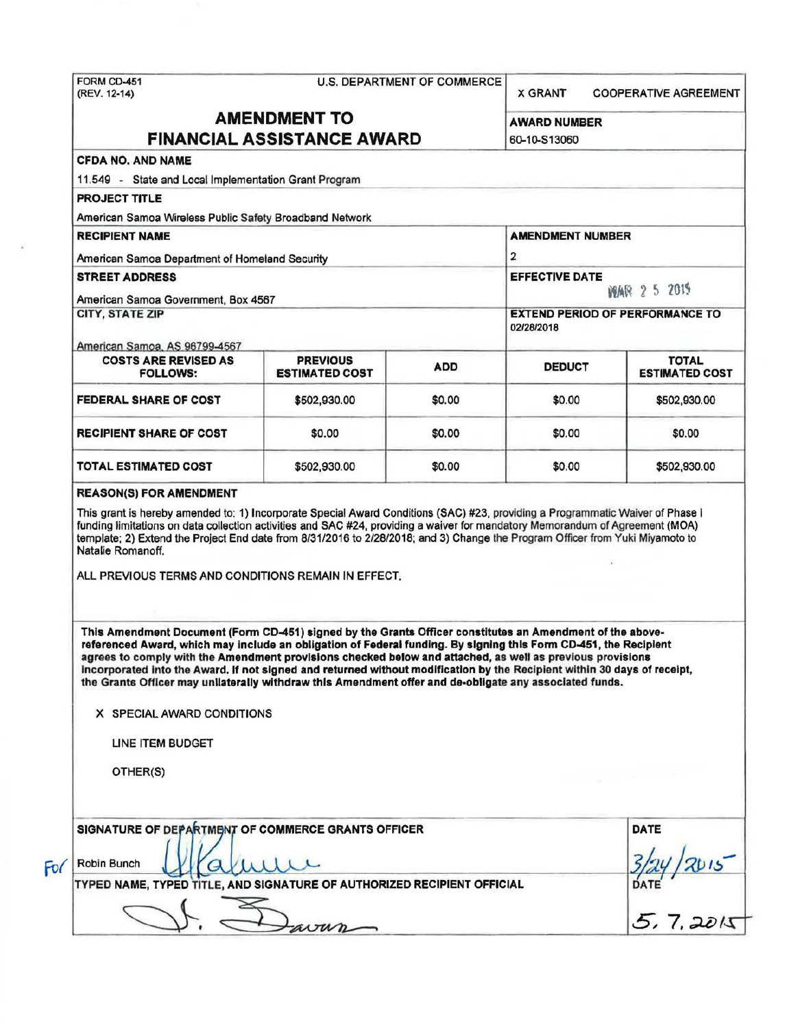# FORM CD-451 U.S. DEPARTMENT OF COMMERCE<br>
(REV. 12-14)

**X GRANT COOPERATIVE AGREEMENT** 

## AMENDMENT TO AWARD NUMBER FINANCIAL ASSISTANCE AWARD 60-10-513060

### CFDA NO. AND NAME

11.549 - State and Local Implementation Grant Program

PROJECT TITLE

American Samoa Wireless Public Safety Broadband Network

RECIPIENT NAME AMENDMENT NUMBER American Samoa Department of Homeland Security 2 STREET ADDRESS EFFECTIVE DATE American Samoa Government, Box 4567<br>
CITY, STATE ZIP<br>
EXTEND PERIOD OF PERFORMANC **EXTEND PERIOD OF PERFORMANCE TO** 02128/2018

#### American Samoa, AS 96799-4567

| <b>COSTS ARE REVISED AS</b><br><b>FOLLOWS:</b> | <b>PREVIOUS</b><br><b>ESTIMATED COST</b> | <b>ADD</b> | <b>DEDUCT</b> | <b>TOTAL</b><br><b>ESTIMATED COST</b> |
|------------------------------------------------|------------------------------------------|------------|---------------|---------------------------------------|
| <b>FEDERAL SHARE OF COST</b>                   | \$502,930.00                             | \$0.00     | \$0.00        | \$502,930.00                          |
| <b>RECIPIENT SHARE OF COST</b>                 | \$0.00                                   | \$0.00     | \$0.00        | \$0.00                                |
| TOTAL ESTIMATED COST                           | \$502,930.00                             | \$0.00     | \$0.00        | \$502,930.00                          |

#### REASON(S) FOR AMENDMENT

This grant is hereby amended to: 1) Incorporate Special Award Conditions (SAC) #23, providing a Programmatic Waiver of Phase I funding limitations on data collection activities and SAC #24, providing a waiver for mandatory Memorandum of Agreement (MOA) template; 2) Extend the Project End date from 8131/2016 to 2/28/2018; and 3) Change the Program Officer from Yuki Miyamoto to Natalie Romanoff.

ALL PREVIOUS TERMS AND CONDITIONS REMAIN IN EFFECT.

This Amendment Document (Form CD-451) signed by the Grants Officer constitutes an Amendment of the abovereferenced Award, which may include an obligation of Federal funding. By signing this Form CD-451, the Recipient agrees to comply with the Amendment provisions checked below and attached, as well as previous provisions Incorporated Into the Award. If not signed and returned without modification by the Recipient within 30 days of receipt, the Grants OHicer may unilaterally withdraw this Amendment offer and de-obligate any associated funds.

#### X SPECIAL AWARD CONDITIONS

UNE ITEM BUDGET

OTHER(S)

|     | SIGNATURE OF DEPARTMENT OF COMMERCE GRANTS OFFICER                      | DATE        |
|-----|-------------------------------------------------------------------------|-------------|
| For | Robin Bunch                                                             |             |
|     | TYPED NAME, TYPED TITLE, AND SIGNATURE OF AUTHORIZED RECIPIENT OFFICIAL | <b>DATE</b> |
|     | $\omega v n$                                                            | 20k         |